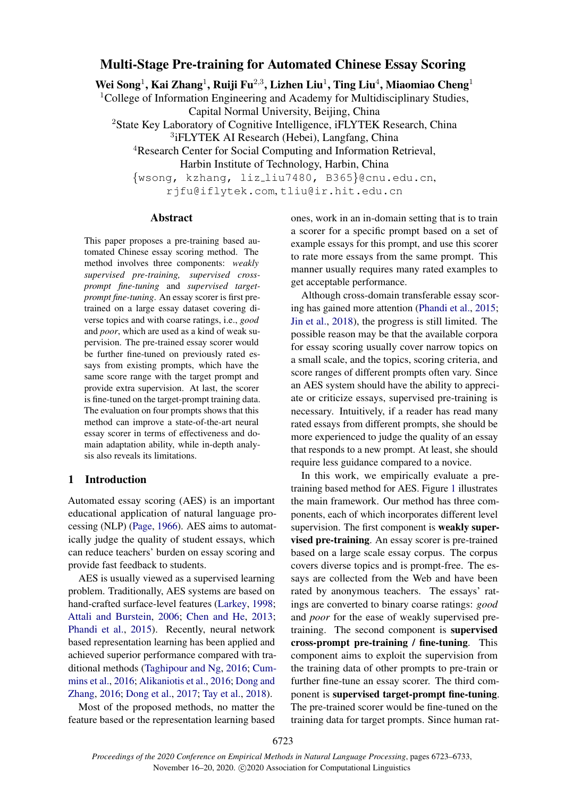# Multi-Stage Pre-training for Automated Chinese Essay Scoring

Wei Song $^1$ , Kai Zhang $^1$ , Ruiji Fu $^{2,3}$ , Lizhen Liu $^1$ , Ting Liu $^4$ , Miaomiao Cheng $^1$ 

<sup>1</sup>College of Information Engineering and Academy for Multidisciplinary Studies, Capital Normal University, Beijing, China

<sup>2</sup>State Key Laboratory of Cognitive Intelligence, iFLYTEK Research, China

3 iFLYTEK AI Research (Hebei), Langfang, China

<sup>4</sup>Research Center for Social Computing and Information Retrieval,

Harbin Institute of Technology, Harbin, China

{wsong, kzhang, liz liu7480, B365}@cnu.edu.cn, rjfu@iflytek.com, tliu@ir.hit.edu.cn

#### Abstract

This paper proposes a pre-training based automated Chinese essay scoring method. The method involves three components: *weakly supervised pre-training, supervised crossprompt fine-tuning* and *supervised targetprompt fine-tuning*. An essay scorer is first pretrained on a large essay dataset covering diverse topics and with coarse ratings, i.e., *good* and *poor*, which are used as a kind of weak supervision. The pre-trained essay scorer would be further fine-tuned on previously rated essays from existing prompts, which have the same score range with the target prompt and provide extra supervision. At last, the scorer is fine-tuned on the target-prompt training data. The evaluation on four prompts shows that this method can improve a state-of-the-art neural essay scorer in terms of effectiveness and domain adaptation ability, while in-depth analysis also reveals its limitations.

## 1 Introduction

Automated essay scoring (AES) is an important educational application of natural language processing (NLP) [\(Page,](#page-9-0) [1966\)](#page-9-0). AES aims to automatically judge the quality of student essays, which can reduce teachers' burden on essay scoring and provide fast feedback to students.

AES is usually viewed as a supervised learning problem. Traditionally, AES systems are based on hand-crafted surface-level features [\(Larkey,](#page-9-1) [1998;](#page-9-1) [Attali and Burstein,](#page-8-0) [2006;](#page-8-0) [Chen and He,](#page-8-1) [2013;](#page-8-1) [Phandi et al.,](#page-9-2) [2015\)](#page-9-2). Recently, neural network based representation learning has been applied and achieved superior performance compared with traditional methods [\(Taghipour and Ng,](#page-9-3) [2016;](#page-9-3) [Cum](#page-8-2)[mins et al.,](#page-8-2) [2016;](#page-8-2) [Alikaniotis et al.,](#page-8-3) [2016;](#page-8-3) [Dong and](#page-8-4) [Zhang,](#page-8-4) [2016;](#page-8-4) [Dong et al.,](#page-8-5) [2017;](#page-8-5) [Tay et al.,](#page-9-4) [2018\)](#page-9-4).

Most of the proposed methods, no matter the feature based or the representation learning based ones, work in an in-domain setting that is to train a scorer for a specific prompt based on a set of example essays for this prompt, and use this scorer to rate more essays from the same prompt. This manner usually requires many rated examples to get acceptable performance.

Although cross-domain transferable essay scoring has gained more attention [\(Phandi et al.,](#page-9-2) [2015;](#page-9-2) [Jin et al.,](#page-9-5) [2018\)](#page-9-5), the progress is still limited. The possible reason may be that the available corpora for essay scoring usually cover narrow topics on a small scale, and the topics, scoring criteria, and score ranges of different prompts often vary. Since an AES system should have the ability to appreciate or criticize essays, supervised pre-training is necessary. Intuitively, if a reader has read many rated essays from different prompts, she should be more experienced to judge the quality of an essay that responds to a new prompt. At least, she should require less guidance compared to a novice.

In this work, we empirically evaluate a pretraining based method for AES. Figure [1](#page-1-0) illustrates the main framework. Our method has three components, each of which incorporates different level supervision. The first component is weakly supervised pre-training. An essay scorer is pre-trained based on a large scale essay corpus. The corpus covers diverse topics and is prompt-free. The essays are collected from the Web and have been rated by anonymous teachers. The essays' ratings are converted to binary coarse ratings: *good* and *poor* for the ease of weakly supervised pretraining. The second component is supervised cross-prompt pre-training / fine-tuning. This component aims to exploit the supervision from the training data of other prompts to pre-train or further fine-tune an essay scorer. The third component is supervised target-prompt fine-tuning. The pre-trained scorer would be fine-tuned on the training data for target prompts. Since human rat-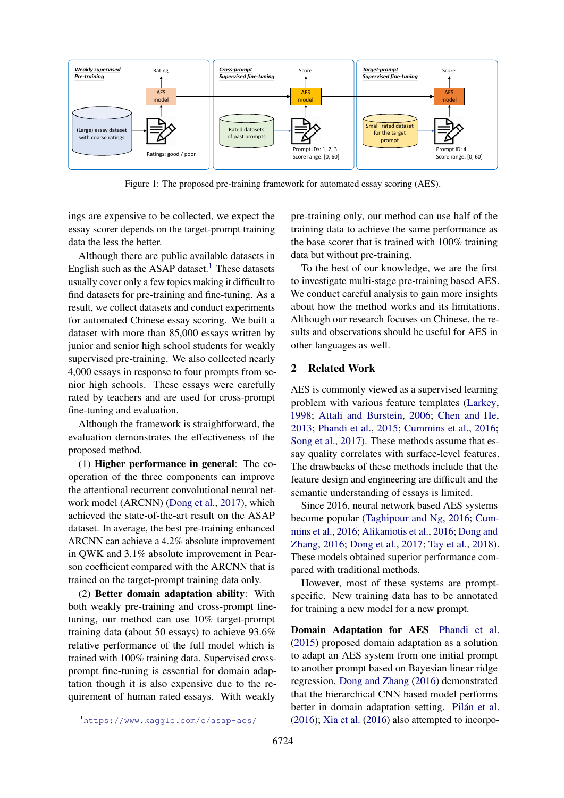<span id="page-1-0"></span>

Figure 1: The proposed pre-training framework for automated essay scoring (AES).

ings are expensive to be collected, we expect the essay scorer depends on the target-prompt training data the less the better.

Although there are public available datasets in English such as the ASAP dataset.<sup>[1](#page-1-1)</sup> These datasets usually cover only a few topics making it difficult to find datasets for pre-training and fine-tuning. As a result, we collect datasets and conduct experiments for automated Chinese essay scoring. We built a dataset with more than 85,000 essays written by junior and senior high school students for weakly supervised pre-training. We also collected nearly 4,000 essays in response to four prompts from senior high schools. These essays were carefully rated by teachers and are used for cross-prompt fine-tuning and evaluation.

Although the framework is straightforward, the evaluation demonstrates the effectiveness of the proposed method.

(1) Higher performance in general: The cooperation of the three components can improve the attentional recurrent convolutional neural network model (ARCNN) [\(Dong et al.,](#page-8-5) [2017\)](#page-8-5), which achieved the state-of-the-art result on the ASAP dataset. In average, the best pre-training enhanced ARCNN can achieve a 4.2% absolute improvement in QWK and 3.1% absolute improvement in Pearson coefficient compared with the ARCNN that is trained on the target-prompt training data only.

(2) Better domain adaptation ability: With both weakly pre-training and cross-prompt finetuning, our method can use 10% target-prompt training data (about 50 essays) to achieve 93.6% relative performance of the full model which is trained with 100% training data. Supervised crossprompt fine-tuning is essential for domain adaptation though it is also expensive due to the requirement of human rated essays. With weakly pre-training only, our method can use half of the training data to achieve the same performance as the base scorer that is trained with 100% training data but without pre-training.

To the best of our knowledge, we are the first to investigate multi-stage pre-training based AES. We conduct careful analysis to gain more insights about how the method works and its limitations. Although our research focuses on Chinese, the results and observations should be useful for AES in other languages as well.

## 2 Related Work

AES is commonly viewed as a supervised learning problem with various feature templates [\(Larkey,](#page-9-1) [1998;](#page-9-1) [Attali and Burstein,](#page-8-0) [2006;](#page-8-0) [Chen and He,](#page-8-1) [2013;](#page-8-1) [Phandi et al.,](#page-9-2) [2015;](#page-9-2) [Cummins et al.,](#page-8-2) [2016;](#page-8-2) [Song et al.,](#page-9-6) [2017\)](#page-9-6). These methods assume that essay quality correlates with surface-level features. The drawbacks of these methods include that the feature design and engineering are difficult and the semantic understanding of essays is limited.

Since 2016, neural network based AES systems become popular [\(Taghipour and Ng,](#page-9-3) [2016;](#page-9-3) [Cum](#page-8-2)[mins et al.,](#page-8-2) [2016;](#page-8-2) [Alikaniotis et al.,](#page-8-3) [2016;](#page-8-3) [Dong and](#page-8-4) [Zhang,](#page-8-4) [2016;](#page-8-4) [Dong et al.,](#page-8-5) [2017;](#page-8-5) [Tay et al.,](#page-9-4) [2018\)](#page-9-4). These models obtained superior performance compared with traditional methods.

However, most of these systems are promptspecific. New training data has to be annotated for training a new model for a new prompt.

Domain Adaptation for AES [Phandi et al.](#page-9-2) [\(2015\)](#page-9-2) proposed domain adaptation as a solution to adapt an AES system from one initial prompt to another prompt based on Bayesian linear ridge regression. [Dong and Zhang](#page-8-4) [\(2016\)](#page-8-4) demonstrated that the hierarchical CNN based model performs better in domain adaptation setting. Pilán et al. [\(2016\)](#page-9-7); [Xia et al.](#page-9-8) [\(2016\)](#page-9-8) also attempted to incorpo-

<span id="page-1-1"></span><sup>1</sup><https://www.kaggle.com/c/asap-aes/>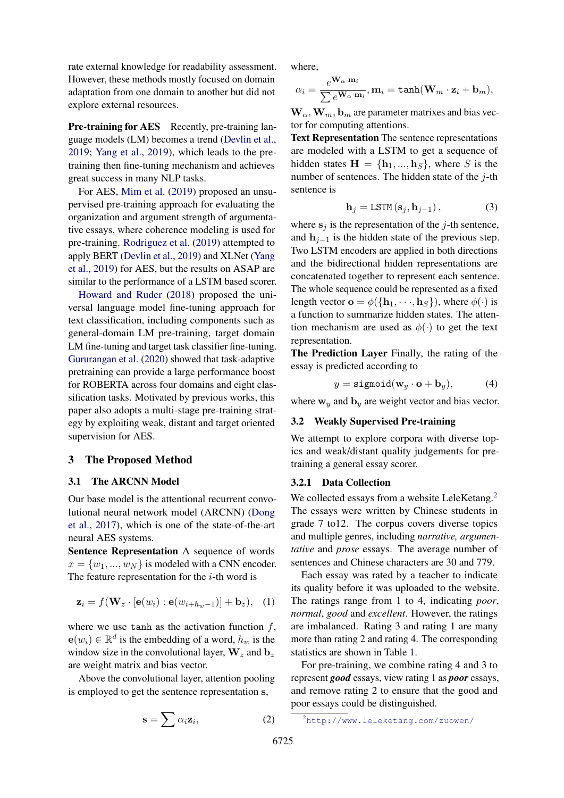rate external knowledge for readability assessment. However, these methods mostly focused on domain adaptation from one domain to another but did not explore external resources.

**Pre-training for AES** Recently, pre-training language models (LM) becomes a trend [\(Devlin et al.,](#page-8-6) [2019;](#page-8-6) [Yang et al.,](#page-9-9) [2019\)](#page-9-9), which leads to the pretraining then fine-tuning mechanism and achieves great success in many NLP tasks.

For AES, [Mim et al.](#page-9-10) [\(2019\)](#page-9-10) proposed an unsupervised pre-training approach for evaluating the organization and argument strength of argumentative essays, where coherence modeling is used for pre-training. [Rodriguez et al.](#page-9-11) [\(2019\)](#page-9-11) attempted to apply BERT [\(Devlin et al.,](#page-8-6) [2019\)](#page-8-6) and XLNet [\(Yang](#page-9-9) [et al.,](#page-9-9) [2019\)](#page-9-9) for AES, but the results on ASAP are similar to the performance of a LSTM based scorer.

[Howard and Ruder](#page-9-12) [\(2018\)](#page-9-12) proposed the universal language model fine-tuning approach for text classification, including components such as general-domain LM pre-training, target domain LM fine-tuning and target task classifier fine-tuning. [Gururangan et al.](#page-8-7) [\(2020\)](#page-8-7) showed that task-adaptive pretraining can provide a large performance boost for ROBERTA across four domains and eight classification tasks. Motivated by previous works, this paper also adopts a multi-stage pre-training strategy by exploiting weak, distant and target oriented supervision for AES.

## 3 The Proposed Method

### 3.1 The ARCNN Model

Our base model is the attentional recurrent convolutional neural network model (ARCNN) [\(Dong](#page-8-5) [et al.,](#page-8-5) [2017\)](#page-8-5), which is one of the state-of-the-art neural AES systems.

Sentence Representation A sequence of words  $x = \{w_1, ..., w_N\}$  is modeled with a CNN encoder. The feature representation for the  $i$ -th word is

$$
\mathbf{z}_i = f(\mathbf{W}_z \cdot [\mathbf{e}(w_i) : \mathbf{e}(w_{i+h_w-1})] + \mathbf{b}_z), \quad (1)
$$

where we use tanh as the activation function  $f$ ,  $e(w_i) \in \mathbb{R}^d$  is the embedding of a word,  $h_w$  is the window size in the convolutional layer,  $\mathbf{W}_z$  and  $\mathbf{b}_z$ are weight matrix and bias vector.

Above the convolutional layer, attention pooling is employed to get the sentence representation s,

$$
\mathbf{s} = \sum \alpha_i \mathbf{z}_i,\tag{2}
$$

where,

$$
\alpha_i = \frac{e^{\mathbf{W}_{\alpha} \cdot \mathbf{m}_i}}{\sum e^{\mathbf{W}_{\alpha} \cdot \mathbf{m}_i}}, \mathbf{m}_i = \texttt{tanh}(\mathbf{W}_{m} \cdot \mathbf{z}_i + \mathbf{b}_m),
$$

 $\mathbf{W}_{\alpha}, \mathbf{W}_{m}, \mathbf{b}_{m}$  are parameter matrixes and bias vector for computing attentions.

Text Representation The sentence representations are modeled with a LSTM to get a sequence of hidden states  $H = \{h_1, ..., h_S\}$ , where S is the number of sentences. The hidden state of the  $j$ -th sentence is

$$
\mathbf{h}_{j} = \text{LSTM}\left(\mathbf{s}_{j}, \mathbf{h}_{j-1}\right),\tag{3}
$$

where  $s_i$  is the representation of the *j*-th sentence, and  $h_{i-1}$  is the hidden state of the previous step. Two LSTM encoders are applied in both directions and the bidirectional hidden representations are concatenated together to represent each sentence. The whole sequence could be represented as a fixed length vector  $\mathbf{o} = \phi({\{\mathbf{h}_1, \dots, \mathbf{h}_S\}})$ , where  $\phi(\cdot)$  is a function to summarize hidden states. The attention mechanism are used as  $\phi(\cdot)$  to get the text representation.

The Prediction Layer Finally, the rating of the essay is predicted according to

$$
y = \text{sigmoid}(\mathbf{w}_y \cdot \mathbf{o} + \mathbf{b}_y), \tag{4}
$$

where  $w_y$  and  $b_y$  are weight vector and bias vector.

## 3.2 Weakly Supervised Pre-training

We attempt to explore corpora with diverse topics and weak/distant quality judgements for pretraining a general essay scorer.

### 3.2.1 Data Collection

We collected essays from a website LeleKetang.<sup>[2](#page-2-0)</sup> The essays were written by Chinese students in grade 7 to12. The corpus covers diverse topics and multiple genres, including *narrative, argumentative* and *prose* essays. The average number of sentences and Chinese characters are 30 and 779.

Each essay was rated by a teacher to indicate its quality before it was uploaded to the website. The ratings range from 1 to 4, indicating *poor*, *normal*, *good* and *excellent*. However, the ratings are imbalanced. Rating 3 and rating 1 are many more than rating 2 and rating 4. The corresponding statistics are shown in Table [1.](#page-3-0)

For pre-training, we combine rating 4 and 3 to represent *good* essays, view rating 1 as *poor* essays, and remove rating 2 to ensure that the good and poor essays could be distinguished.

<span id="page-2-0"></span><sup>2</sup><http://www.leleketang.com/zuowen/>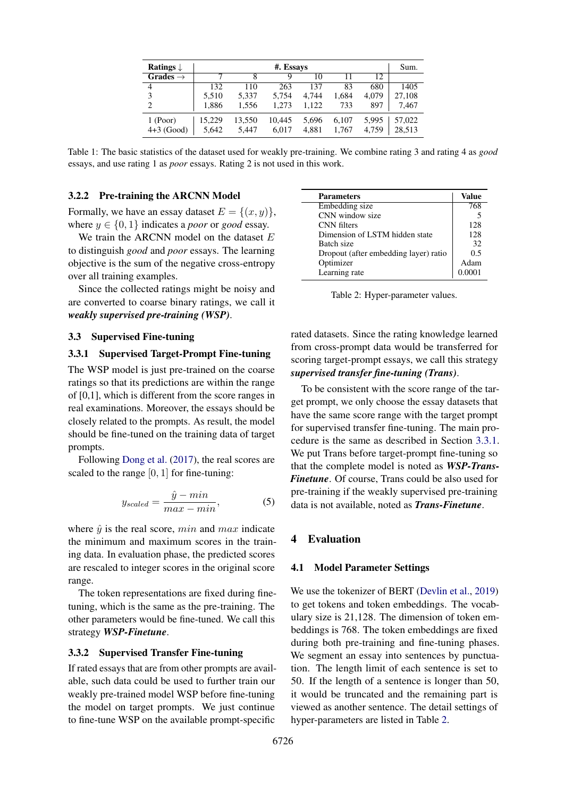<span id="page-3-0"></span>

| Ratings $\downarrow$ |        | Sum.   |        |       |       |       |        |
|----------------------|--------|--------|--------|-------|-------|-------|--------|
| Grades $\rightarrow$ |        | 8      | Q      | 10    |       | 12.   |        |
| 4                    | 132    | 110    | 263    | 137   | 83    | 680   | 1405   |
| 3                    | 5.510  | 5.337  | 5.754  | 4.744 | 1,684 | 4.079 | 27.108 |
| $\overline{2}$       | 1.886  | 1.556  | 1.273  | 1.122 | 733   | 897   | 7.467  |
| 1 (Poor)             | 15.229 | 13,550 | 10,445 | 5.696 | 6.107 | 5.995 | 57,022 |
| $4+3$ (Good)         | 5,642  | 5.447  | 6.017  | 4.881 | 1.767 | 4.759 | 28,513 |

Table 1: The basic statistics of the dataset used for weakly pre-training. We combine rating 3 and rating 4 as *good* essays, and use rating 1 as *poor* essays. Rating 2 is not used in this work.

### 3.2.2 Pre-training the ARCNN Model

Formally, we have an essay dataset  $E = \{(x, y)\}\,$ , where  $y \in \{0, 1\}$  indicates a *poor* or *good* essay.

We train the ARCNN model on the dataset  $E$ to distinguish *good* and *poor* essays. The learning objective is the sum of the negative cross-entropy over all training examples.

Since the collected ratings might be noisy and are converted to coarse binary ratings, we call it *weakly supervised pre-training (WSP)*.

## 3.3 Supervised Fine-tuning

## <span id="page-3-1"></span>3.3.1 Supervised Target-Prompt Fine-tuning

The WSP model is just pre-trained on the coarse ratings so that its predictions are within the range of [0,1], which is different from the score ranges in real examinations. Moreover, the essays should be closely related to the prompts. As result, the model should be fine-tuned on the training data of target prompts.

Following [Dong et al.](#page-8-5) [\(2017\)](#page-8-5), the real scores are scaled to the range  $[0, 1]$  for fine-tuning:

$$
y_{scaled} = \frac{\hat{y} - min}{max - min},
$$
 (5)

where  $\hat{y}$  is the real score, min and max indicate the minimum and maximum scores in the training data. In evaluation phase, the predicted scores are rescaled to integer scores in the original score range.

The token representations are fixed during finetuning, which is the same as the pre-training. The other parameters would be fine-tuned. We call this strategy *WSP-Finetune*.

#### 3.3.2 Supervised Transfer Fine-tuning

If rated essays that are from other prompts are available, such data could be used to further train our weakly pre-trained model WSP before fine-tuning the model on target prompts. We just continue to fine-tune WSP on the available prompt-specific

<span id="page-3-2"></span>

| <b>Parameters</b>                     | Value  |
|---------------------------------------|--------|
| Embedding size                        | 768    |
| CNN window size                       | 5      |
| CNN filters                           | 128    |
| Dimension of LSTM hidden state        | 128    |
| Batch size                            | 32     |
| Dropout (after embedding layer) ratio | 0.5    |
| Optimizer                             | Adam   |
| Learning rate                         | 0.0001 |

Table 2: Hyper-parameter values.

rated datasets. Since the rating knowledge learned from cross-prompt data would be transferred for scoring target-prompt essays, we call this strategy *supervised transfer fine-tuning (Trans)*.

To be consistent with the score range of the target prompt, we only choose the essay datasets that have the same score range with the target prompt for supervised transfer fine-tuning. The main procedure is the same as described in Section [3.3.1.](#page-3-1) We put Trans before target-prompt fine-tuning so that the complete model is noted as *WSP-Trans-Finetune*. Of course, Trans could be also used for pre-training if the weakly supervised pre-training data is not available, noted as *Trans-Finetune*.

#### 4 Evaluation

#### 4.1 Model Parameter Settings

We use the tokenizer of BERT [\(Devlin et al.,](#page-8-6) [2019\)](#page-8-6) to get tokens and token embeddings. The vocabulary size is 21,128. The dimension of token embeddings is 768. The token embeddings are fixed during both pre-training and fine-tuning phases. We segment an essay into sentences by punctuation. The length limit of each sentence is set to 50. If the length of a sentence is longer than 50, it would be truncated and the remaining part is viewed as another sentence. The detail settings of hyper-parameters are listed in Table [2.](#page-3-2)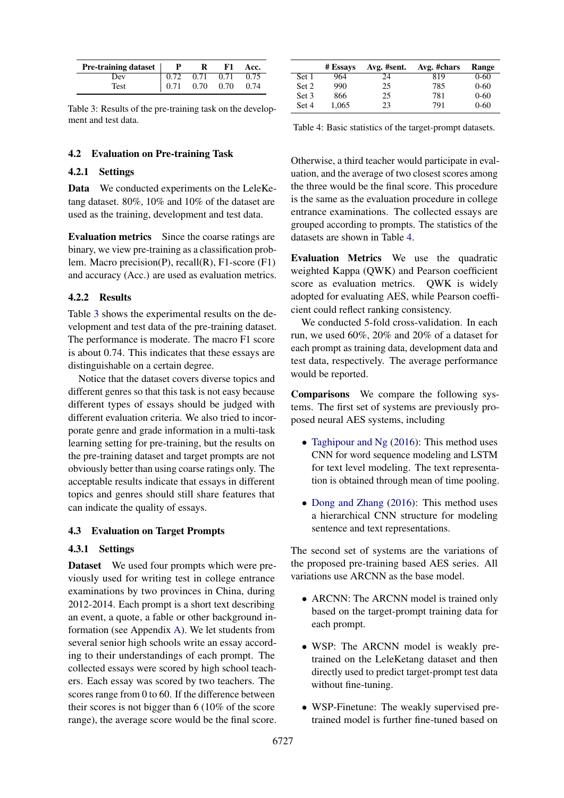<span id="page-4-0"></span>

| <b>Pre-training dataset</b> $\parallel$ <b>P</b> |                                                                                           | R | F1 | Acc. |
|--------------------------------------------------|-------------------------------------------------------------------------------------------|---|----|------|
| Dev                                              | $\begin{array}{ rrrr} 0.72 & 0.71 & 0.71 & 0.75 \\ 0.71 & 0.70 & 0.70 & 0.74 \end{array}$ |   |    |      |
| Test                                             |                                                                                           |   |    |      |

Table 3: Results of the pre-training task on the development and test data.

## 4.2 Evaluation on Pre-training Task

## 4.2.1 Settings

Data We conducted experiments on the LeleKetang dataset. 80%, 10% and 10% of the dataset are used as the training, development and test data.

Evaluation metrics Since the coarse ratings are binary, we view pre-training as a classification problem. Macro precision(P), recall(R), F1-score (F1) and accuracy (Acc.) are used as evaluation metrics.

### 4.2.2 Results

Table [3](#page-4-0) shows the experimental results on the development and test data of the pre-training dataset. The performance is moderate. The macro F1 score is about 0.74. This indicates that these essays are distinguishable on a certain degree.

Notice that the dataset covers diverse topics and different genres so that this task is not easy because different types of essays should be judged with different evaluation criteria. We also tried to incorporate genre and grade information in a multi-task learning setting for pre-training, but the results on the pre-training dataset and target prompts are not obviously better than using coarse ratings only. The acceptable results indicate that essays in different topics and genres should still share features that can indicate the quality of essays.

#### 4.3 Evaluation on Target Prompts

## 4.3.1 Settings

Dataset We used four prompts which were previously used for writing test in college entrance examinations by two provinces in China, during 2012-2014. Each prompt is a short text describing an event, a quote, a fable or other background information (see Appendix [A\)](#page-9-13). We let students from several senior high schools write an essay according to their understandings of each prompt. The collected essays were scored by high school teachers. Each essay was scored by two teachers. The scores range from 0 to 60. If the difference between their scores is not bigger than 6 (10% of the score range), the average score would be the final score.

<span id="page-4-1"></span>

|       | # Essays | Avg. #sent. | Avg. #chars | Range    |
|-------|----------|-------------|-------------|----------|
| Set 1 | 964      | 24          | 819         | $0 - 60$ |
| Set 2 | 990      | 25          | 785         | $0 - 60$ |
| Set 3 | 866      | 25          | 781         | $0 - 60$ |
| Set 4 | 1.065    | 23          | 791         | $0 - 60$ |

Table 4: Basic statistics of the target-prompt datasets.

Otherwise, a third teacher would participate in evaluation, and the average of two closest scores among the three would be the final score. This procedure is the same as the evaluation procedure in college entrance examinations. The collected essays are grouped according to prompts. The statistics of the datasets are shown in Table [4.](#page-4-1)

Evaluation Metrics We use the quadratic weighted Kappa (QWK) and Pearson coefficient score as evaluation metrics. QWK is widely adopted for evaluating AES, while Pearson coefficient could reflect ranking consistency.

We conducted 5-fold cross-validation. In each run, we used 60%, 20% and 20% of a dataset for each prompt as training data, development data and test data, respectively. The average performance would be reported.

Comparisons We compare the following systems. The first set of systems are previously proposed neural AES systems, including

- [Taghipour and Ng](#page-9-3) [\(2016\)](#page-9-3): This method uses CNN for word sequence modeling and LSTM for text level modeling. The text representation is obtained through mean of time pooling.
- [Dong and Zhang](#page-8-4) [\(2016\)](#page-8-4): This method uses a hierarchical CNN structure for modeling sentence and text representations.

The second set of systems are the variations of the proposed pre-training based AES series. All variations use ARCNN as the base model.

- ARCNN: The ARCNN model is trained only based on the target-prompt training data for each prompt.
- WSP: The ARCNN model is weakly pretrained on the LeleKetang dataset and then directly used to predict target-prompt test data without fine-tuning.
- WSP-Finetune: The weakly supervised pretrained model is further fine-tuned based on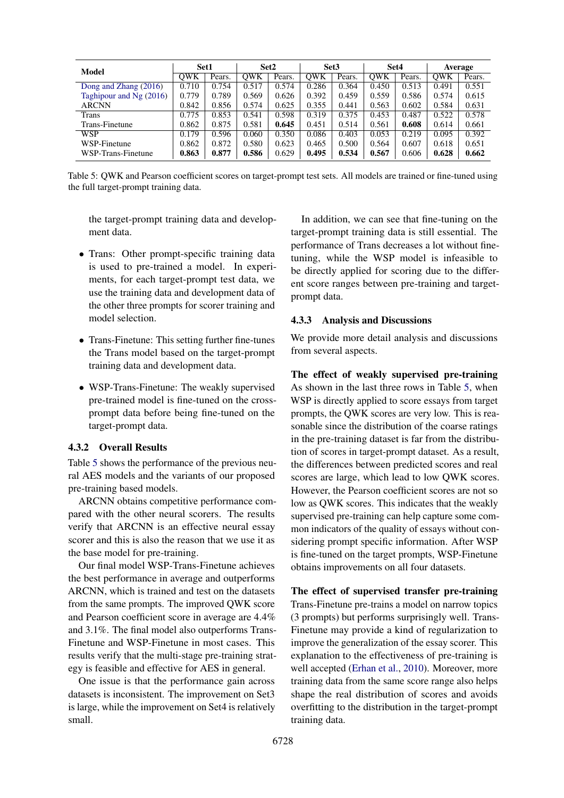<span id="page-5-0"></span>

| Model                    | Set1  |        | Set2  |        | Set <sub>3</sub> |        | Set4       |        | <b>Average</b> |        |
|--------------------------|-------|--------|-------|--------|------------------|--------|------------|--------|----------------|--------|
|                          | OWK   | Pears. | OWK   | Pears. | <b>OWK</b>       | Pears. | <b>OWK</b> | Pears. | OWK            | Pears. |
| Dong and Zhang (2016)    | 0.710 | 0.754  | 0.517 | 0.574  | 0.286            | 0.364  | 0.450      | 0.513  | 0.491          | 0.551  |
| Taghipour and $Ng(2016)$ | 0.779 | 0.789  | 0.569 | 0.626  | 0.392            | 0.459  | 0.559      | 0.586  | 0.574          | 0.615  |
| <b>ARCNN</b>             | 0.842 | 0.856  | 0.574 | 0.625  | 0.355            | 0.441  | 0.563      | 0.602  | 0.584          | 0.631  |
| <b>Trans</b>             | 0.775 | 0.853  | 0.541 | 0.598  | 0.319            | 0.375  | 0.453      | 0.487  | 0.522          | 0.578  |
| Trans-Finetune           | 0.862 | 0.875  | 0.581 | 0.645  | 0.451            | 0.514  | 0.561      | 0.608  | 0.614          | 0.661  |
| <b>WSP</b>               | 0.179 | 0.596  | 0.060 | 0.350  | 0.086            | 0.403  | 0.053      | 0.219  | 0.095          | 0.392  |
| WSP-Finetune             | 0.862 | 0.872  | 0.580 | 0.623  | 0.465            | 0.500  | 0.564      | 0.607  | 0.618          | 0.651  |
| WSP-Trans-Finetune       | 0.863 | 0.877  | 0.586 | 0.629  | 0.495            | 0.534  | 0.567      | 0.606  | 0.628          | 0.662  |

Table 5: QWK and Pearson coefficient scores on target-prompt test sets. All models are trained or fine-tuned using the full target-prompt training data.

the target-prompt training data and development data.

- Trans: Other prompt-specific training data is used to pre-trained a model. In experiments, for each target-prompt test data, we use the training data and development data of the other three prompts for scorer training and model selection.
- Trans-Finetune: This setting further fine-tunes the Trans model based on the target-prompt training data and development data.
- WSP-Trans-Finetune: The weakly supervised pre-trained model is fine-tuned on the crossprompt data before being fine-tuned on the target-prompt data.

## 4.3.2 Overall Results

Table [5](#page-5-0) shows the performance of the previous neural AES models and the variants of our proposed pre-training based models.

ARCNN obtains competitive performance compared with the other neural scorers. The results verify that ARCNN is an effective neural essay scorer and this is also the reason that we use it as the base model for pre-training.

Our final model WSP-Trans-Finetune achieves the best performance in average and outperforms ARCNN, which is trained and test on the datasets from the same prompts. The improved QWK score and Pearson coefficient score in average are 4.4% and 3.1%. The final model also outperforms Trans-Finetune and WSP-Finetune in most cases. This results verify that the multi-stage pre-training strategy is feasible and effective for AES in general.

One issue is that the performance gain across datasets is inconsistent. The improvement on Set3 is large, while the improvement on Set4 is relatively small.

In addition, we can see that fine-tuning on the target-prompt training data is still essential. The performance of Trans decreases a lot without finetuning, while the WSP model is infeasible to be directly applied for scoring due to the different score ranges between pre-training and targetprompt data.

## 4.3.3 Analysis and Discussions

We provide more detail analysis and discussions from several aspects.

The effect of weakly supervised pre-training As shown in the last three rows in Table [5,](#page-5-0) when WSP is directly applied to score essays from target prompts, the QWK scores are very low. This is reasonable since the distribution of the coarse ratings in the pre-training dataset is far from the distribution of scores in target-prompt dataset. As a result, the differences between predicted scores and real scores are large, which lead to low QWK scores. However, the Pearson coefficient scores are not so low as QWK scores. This indicates that the weakly supervised pre-training can help capture some common indicators of the quality of essays without considering prompt specific information. After WSP is fine-tuned on the target prompts, WSP-Finetune obtains improvements on all four datasets.

The effect of supervised transfer pre-training Trans-Finetune pre-trains a model on narrow topics (3 prompts) but performs surprisingly well. Trans-Finetune may provide a kind of regularization to improve the generalization of the essay scorer. This explanation to the effectiveness of pre-training is well accepted [\(Erhan et al.,](#page-8-8) [2010\)](#page-8-8). Moreover, more training data from the same score range also helps shape the real distribution of scores and avoids overfitting to the distribution in the target-prompt training data.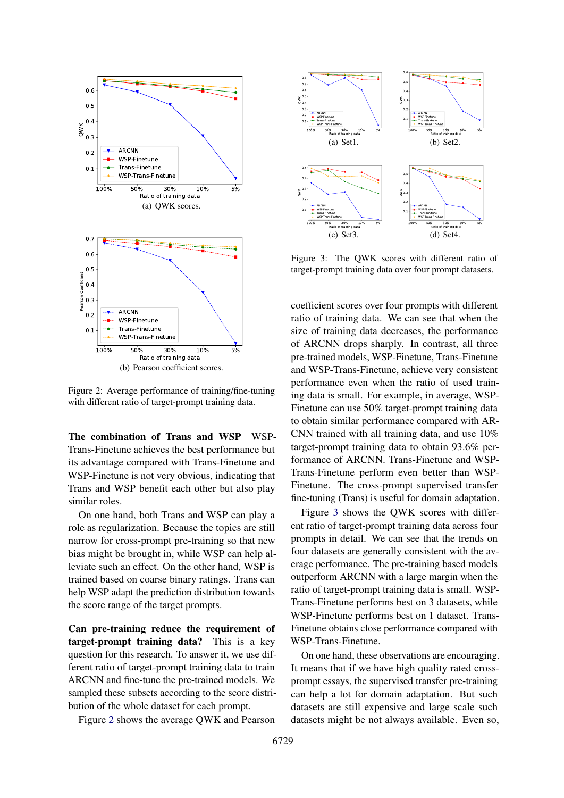<span id="page-6-0"></span>

Figure 2: Average performance of training/fine-tuning with different ratio of target-prompt training data.

The combination of Trans and WSP WSP-Trans-Finetune achieves the best performance but its advantage compared with Trans-Finetune and WSP-Finetune is not very obvious, indicating that Trans and WSP benefit each other but also play similar roles.

On one hand, both Trans and WSP can play a role as regularization. Because the topics are still narrow for cross-prompt pre-training so that new bias might be brought in, while WSP can help alleviate such an effect. On the other hand, WSP is trained based on coarse binary ratings. Trans can help WSP adapt the prediction distribution towards the score range of the target prompts.

Can pre-training reduce the requirement of target-prompt training data? This is a key question for this research. To answer it, we use different ratio of target-prompt training data to train ARCNN and fine-tune the pre-trained models. We sampled these subsets according to the score distribution of the whole dataset for each prompt.

Figure [2](#page-6-0) shows the average QWK and Pearson

<span id="page-6-1"></span>

Figure 3: The QWK scores with different ratio of target-prompt training data over four prompt datasets.

coefficient scores over four prompts with different ratio of training data. We can see that when the size of training data decreases, the performance of ARCNN drops sharply. In contrast, all three pre-trained models, WSP-Finetune, Trans-Finetune and WSP-Trans-Finetune, achieve very consistent performance even when the ratio of used training data is small. For example, in average, WSP-Finetune can use 50% target-prompt training data to obtain similar performance compared with AR-CNN trained with all training data, and use 10% target-prompt training data to obtain 93.6% performance of ARCNN. Trans-Finetune and WSP-Trans-Finetune perform even better than WSP-Finetune. The cross-prompt supervised transfer fine-tuning (Trans) is useful for domain adaptation.

Figure [3](#page-6-1) shows the QWK scores with different ratio of target-prompt training data across four prompts in detail. We can see that the trends on four datasets are generally consistent with the average performance. The pre-training based models outperform ARCNN with a large margin when the ratio of target-prompt training data is small. WSP-Trans-Finetune performs best on 3 datasets, while WSP-Finetune performs best on 1 dataset. Trans-Finetune obtains close performance compared with WSP-Trans-Finetune.

On one hand, these observations are encouraging. It means that if we have high quality rated crossprompt essays, the supervised transfer pre-training can help a lot for domain adaptation. But such datasets are still expensive and large scale such datasets might be not always available. Even so,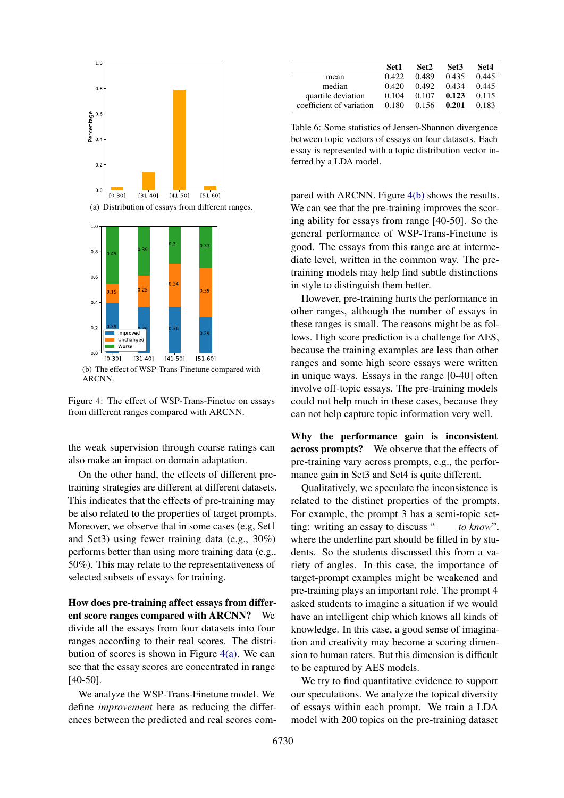<span id="page-7-0"></span>

<span id="page-7-1"></span>(b) The effect of WSP-Trans-Finetune compared with ARCNN.

Figure 4: The effect of WSP-Trans-Finetue on essays from different ranges compared with ARCNN.

the weak supervision through coarse ratings can also make an impact on domain adaptation.

On the other hand, the effects of different pretraining strategies are different at different datasets. This indicates that the effects of pre-training may be also related to the properties of target prompts. Moreover, we observe that in some cases (e.g, Set1 and Set3) using fewer training data (e.g., 30%) performs better than using more training data (e.g., 50%). This may relate to the representativeness of selected subsets of essays for training.

How does pre-training affect essays from different score ranges compared with ARCNN? We divide all the essays from four datasets into four ranges according to their real scores. The distribution of scores is shown in Figure  $4(a)$ . We can see that the essay scores are concentrated in range [40-50].

We analyze the WSP-Trans-Finetune model. We define *improvement* here as reducing the differences between the predicted and real scores com-

<span id="page-7-2"></span>

|                          | Set1  | Set2  | Set <sub>3</sub> | Set4  |
|--------------------------|-------|-------|------------------|-------|
| mean                     | 0.422 | 0.489 | 0.435            | 0.445 |
| median                   | 0.420 | 0.492 | 0.434            | 0.445 |
| quartile deviation       | 0.104 | 0.107 | 0.123            | 0.115 |
| coefficient of variation | 0.180 | 0.156 | 0.201            | 0.183 |

Table 6: Some statistics of Jensen-Shannon divergence between topic vectors of essays on four datasets. Each essay is represented with a topic distribution vector inferred by a LDA model.

pared with ARCNN. Figure [4\(b\)](#page-7-1) shows the results. We can see that the pre-training improves the scoring ability for essays from range [40-50]. So the general performance of WSP-Trans-Finetune is good. The essays from this range are at intermediate level, written in the common way. The pretraining models may help find subtle distinctions in style to distinguish them better.

However, pre-training hurts the performance in other ranges, although the number of essays in these ranges is small. The reasons might be as follows. High score prediction is a challenge for AES, because the training examples are less than other ranges and some high score essays were written in unique ways. Essays in the range [0-40] often involve off-topic essays. The pre-training models could not help much in these cases, because they can not help capture topic information very well.

Why the performance gain is inconsistent across prompts? We observe that the effects of pre-training vary across prompts, e.g., the performance gain in Set3 and Set4 is quite different.

Qualitatively, we speculate the inconsistence is related to the distinct properties of the prompts. For example, the prompt 3 has a semi-topic setting: writing an essay to discuss " *to know*", where the underline part should be filled in by students. So the students discussed this from a variety of angles. In this case, the importance of target-prompt examples might be weakened and pre-training plays an important role. The prompt 4 asked students to imagine a situation if we would have an intelligent chip which knows all kinds of knowledge. In this case, a good sense of imagination and creativity may become a scoring dimension to human raters. But this dimension is difficult to be captured by AES models.

We try to find quantitative evidence to support our speculations. We analyze the topical diversity of essays within each prompt. We train a LDA model with 200 topics on the pre-training dataset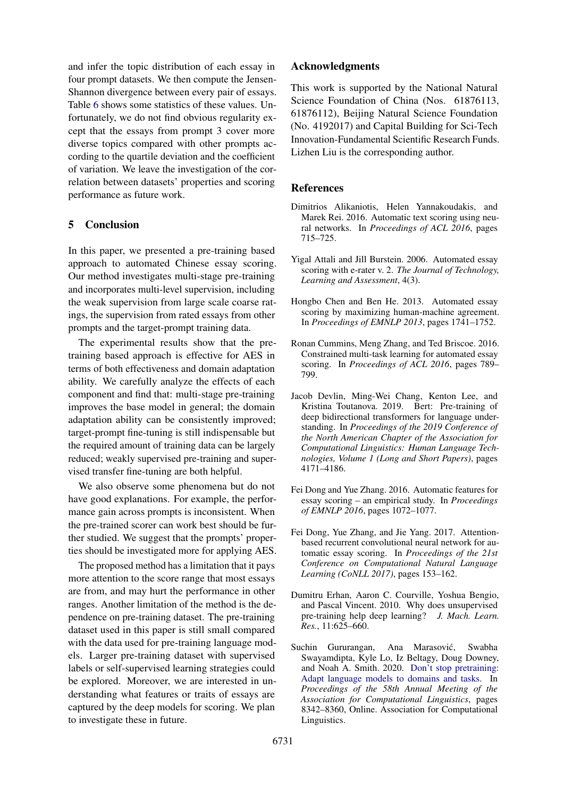and infer the topic distribution of each essay in four prompt datasets. We then compute the Jensen-Shannon divergence between every pair of essays. Table [6](#page-7-2) shows some statistics of these values. Unfortunately, we do not find obvious regularity except that the essays from prompt 3 cover more diverse topics compared with other prompts according to the quartile deviation and the coefficient of variation. We leave the investigation of the correlation between datasets' properties and scoring performance as future work.

## 5 Conclusion

In this paper, we presented a pre-training based approach to automated Chinese essay scoring. Our method investigates multi-stage pre-training and incorporates multi-level supervision, including the weak supervision from large scale coarse ratings, the supervision from rated essays from other prompts and the target-prompt training data.

The experimental results show that the pretraining based approach is effective for AES in terms of both effectiveness and domain adaptation ability. We carefully analyze the effects of each component and find that: multi-stage pre-training improves the base model in general; the domain adaptation ability can be consistently improved; target-prompt fine-tuning is still indispensable but the required amount of training data can be largely reduced; weakly supervised pre-training and supervised transfer fine-tuning are both helpful.

We also observe some phenomena but do not have good explanations. For example, the performance gain across prompts is inconsistent. When the pre-trained scorer can work best should be further studied. We suggest that the prompts' properties should be investigated more for applying AES.

The proposed method has a limitation that it pays more attention to the score range that most essays are from, and may hurt the performance in other ranges. Another limitation of the method is the dependence on pre-training dataset. The pre-training dataset used in this paper is still small compared with the data used for pre-training language models. Larger pre-training dataset with supervised labels or self-supervised learning strategies could be explored. Moreover, we are interested in understanding what features or traits of essays are captured by the deep models for scoring. We plan to investigate these in future.

## Acknowledgments

This work is supported by the National Natural Science Foundation of China (Nos. 61876113, 61876112), Beijing Natural Science Foundation (No. 4192017) and Capital Building for Sci-Tech Innovation-Fundamental Scientific Research Funds. Lizhen Liu is the corresponding author.

## **References**

- <span id="page-8-3"></span>Dimitrios Alikaniotis, Helen Yannakoudakis, and Marek Rei. 2016. Automatic text scoring using neural networks. In *Proceedings of ACL 2016*, pages 715–725.
- <span id="page-8-0"></span>Yigal Attali and Jill Burstein. 2006. Automated essay scoring with e-rater v. 2. *The Journal of Technology, Learning and Assessment*, 4(3).
- <span id="page-8-1"></span>Hongbo Chen and Ben He. 2013. Automated essay scoring by maximizing human-machine agreement. In *Proceedings of EMNLP 2013*, pages 1741–1752.
- <span id="page-8-2"></span>Ronan Cummins, Meng Zhang, and Ted Briscoe. 2016. Constrained multi-task learning for automated essay scoring. In *Proceedings of ACL 2016*, pages 789– 799.
- <span id="page-8-6"></span>Jacob Devlin, Ming-Wei Chang, Kenton Lee, and Kristina Toutanova. 2019. Bert: Pre-training of deep bidirectional transformers for language understanding. In *Proceedings of the 2019 Conference of the North American Chapter of the Association for Computational Linguistics: Human Language Technologies, Volume 1 (Long and Short Papers)*, pages 4171–4186.
- <span id="page-8-4"></span>Fei Dong and Yue Zhang. 2016. Automatic features for essay scoring – an empirical study. In *Proceedings of EMNLP 2016*, pages 1072–1077.
- <span id="page-8-5"></span>Fei Dong, Yue Zhang, and Jie Yang. 2017. Attentionbased recurrent convolutional neural network for automatic essay scoring. In *Proceedings of the 21st Conference on Computational Natural Language Learning (CoNLL 2017)*, pages 153–162.
- <span id="page-8-8"></span>Dumitru Erhan, Aaron C. Courville, Yoshua Bengio, and Pascal Vincent. 2010. Why does unsupervised pre-training help deep learning? *J. Mach. Learn. Res.*, 11:625–660.
- <span id="page-8-7"></span>Suchin Gururangan, Ana Marasović, Swabha Swayamdipta, Kyle Lo, Iz Beltagy, Doug Downey, and Noah A. Smith. 2020. [Don't stop pretraining:](https://doi.org/10.18653/v1/2020.acl-main.740) [Adapt language models to domains and tasks.](https://doi.org/10.18653/v1/2020.acl-main.740) In *Proceedings of the 58th Annual Meeting of the Association for Computational Linguistics*, pages 8342–8360, Online. Association for Computational Linguistics.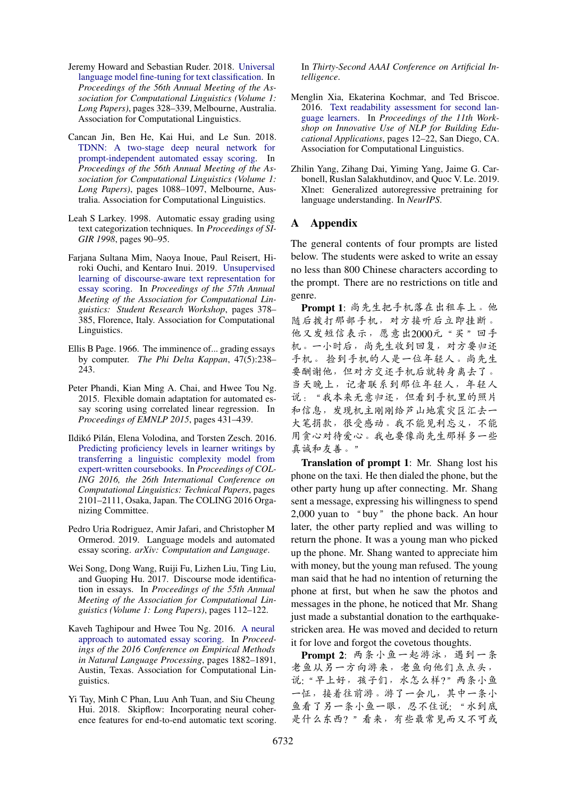- <span id="page-9-12"></span>Jeremy Howard and Sebastian Ruder. 2018. [Universal](https://doi.org/10.18653/v1/P18-1031) [language model fine-tuning for text classification.](https://doi.org/10.18653/v1/P18-1031) In *Proceedings of the 56th Annual Meeting of the Association for Computational Linguistics (Volume 1: Long Papers)*, pages 328–339, Melbourne, Australia. Association for Computational Linguistics.
- <span id="page-9-5"></span>Cancan Jin, Ben He, Kai Hui, and Le Sun. 2018. [TDNN: A two-stage deep neural network for](https://doi.org/10.18653/v1/P18-1100) [prompt-independent automated essay scoring.](https://doi.org/10.18653/v1/P18-1100) In *Proceedings of the 56th Annual Meeting of the Association for Computational Linguistics (Volume 1: Long Papers)*, pages 1088–1097, Melbourne, Australia. Association for Computational Linguistics.
- <span id="page-9-1"></span>Leah S Larkey. 1998. Automatic essay grading using text categorization techniques. In *Proceedings of SI-GIR 1998*, pages 90–95.
- <span id="page-9-10"></span>Farjana Sultana Mim, Naoya Inoue, Paul Reisert, Hiroki Ouchi, and Kentaro Inui. 2019. [Unsupervised](https://doi.org/10.18653/v1/P19-2053) [learning of discourse-aware text representation for](https://doi.org/10.18653/v1/P19-2053) [essay scoring.](https://doi.org/10.18653/v1/P19-2053) In *Proceedings of the 57th Annual Meeting of the Association for Computational Linguistics: Student Research Workshop*, pages 378– 385, Florence, Italy. Association for Computational Linguistics.
- <span id="page-9-0"></span>Ellis B Page. 1966. The imminence of... grading essays by computer. *The Phi Delta Kappan*, 47(5):238– 243.
- <span id="page-9-2"></span>Peter Phandi, Kian Ming A. Chai, and Hwee Tou Ng. 2015. Flexible domain adaptation for automated essay scoring using correlated linear regression. In *Proceedings of EMNLP 2015*, pages 431–439.
- <span id="page-9-7"></span>Ildikó Pilán, Elena Volodina, and Torsten Zesch. 2016. [Predicting proficiency levels in learner writings by](https://www.aclweb.org/anthology/C16-1198) [transferring a linguistic complexity model from](https://www.aclweb.org/anthology/C16-1198) [expert-written coursebooks.](https://www.aclweb.org/anthology/C16-1198) In *Proceedings of COL-ING 2016, the 26th International Conference on Computational Linguistics: Technical Papers*, pages 2101–2111, Osaka, Japan. The COLING 2016 Organizing Committee.
- <span id="page-9-11"></span>Pedro Uria Rodriguez, Amir Jafari, and Christopher M Ormerod. 2019. Language models and automated essay scoring. *arXiv: Computation and Language*.
- <span id="page-9-6"></span>Wei Song, Dong Wang, Ruiji Fu, Lizhen Liu, Ting Liu, and Guoping Hu. 2017. Discourse mode identification in essays. In *Proceedings of the 55th Annual Meeting of the Association for Computational Linguistics (Volume 1: Long Papers)*, pages 112–122.
- <span id="page-9-3"></span>Kaveh Taghipour and Hwee Tou Ng. 2016. [A neural](https://doi.org/10.18653/v1/D16-1193) [approach to automated essay scoring.](https://doi.org/10.18653/v1/D16-1193) In *Proceedings of the 2016 Conference on Empirical Methods in Natural Language Processing*, pages 1882–1891, Austin, Texas. Association for Computational Linguistics.
- <span id="page-9-4"></span>Yi Tay, Minh C Phan, Luu Anh Tuan, and Siu Cheung Hui. 2018. Skipflow: Incorporating neural coherence features for end-to-end automatic text scoring.

In *Thirty-Second AAAI Conference on Artificial Intelligence*.

- <span id="page-9-8"></span>Menglin Xia, Ekaterina Kochmar, and Ted Briscoe. 2016. [Text readability assessment for second lan](https://doi.org/10.18653/v1/W16-0502)[guage learners.](https://doi.org/10.18653/v1/W16-0502) In *Proceedings of the 11th Workshop on Innovative Use of NLP for Building Educational Applications*, pages 12–22, San Diego, CA. Association for Computational Linguistics.
- <span id="page-9-9"></span>Zhilin Yang, Zihang Dai, Yiming Yang, Jaime G. Carbonell, Ruslan Salakhutdinov, and Quoc V. Le. 2019. Xlnet: Generalized autoregressive pretraining for language understanding. In *NeurIPS*.

## <span id="page-9-13"></span>A Appendix

The general contents of four prompts are listed below. The students were asked to write an essay no less than 800 Chinese characters according to the prompt. There are no restrictions on title and genre.

Prompt 1: 尚先生把手机落在出租车上。<sup>他</sup> <sup>随</sup>后拨打那部手机,对方接听后立即挂断。 <sup>他</sup>又发短信表示,愿意出2000元"买"回手 <sup>机</sup>。一小时后,尚先生收到回复,对方要归<sup>还</sup> 手机。 <sup>捡</sup>到手机的人是一位年轻人。尚先<sup>生</sup> <sup>要</sup>酬谢他,但对方交还手机后就转身离去了。 当天晚上,记者联系到那位年轻人,年轻<sup>人</sup> <sup>说</sup>:"我本来无意归还,但看到手机里的照片 <sup>和</sup>信息,发现机主刚刚给芦山地震灾区汇去<sup>一</sup> <sup>大</sup>笔捐款,很受感动。我不能见利忘义,不<sup>能</sup> <sup>用</sup>贪心对待爱心。我也要像尚先生那样多一些 真诚和友善。"

Translation of prompt 1: Mr. Shang lost his phone on the taxi. He then dialed the phone, but the other party hung up after connecting. Mr. Shang sent a message, expressing his willingness to spend 2,000 yuan to "buy" the phone back. An hour later, the other party replied and was willing to return the phone. It was a young man who picked up the phone. Mr. Shang wanted to appreciate him with money, but the young man refused. The young man said that he had no intention of returning the phone at first, but when he saw the photos and messages in the phone, he noticed that Mr. Shang just made a substantial donation to the earthquakestricken area. He was moved and decided to return it for love and forgot the covetous thoughts.

Prompt 2: 两条小鱼一起游泳, 遇到一条 老鱼从另一方向游来,老鱼向他们点点头, <sup>说</sup>:"早上好,孩子们,水怎么样?"两条小<sup>鱼</sup> <sup>一</sup>怔,接着往前游。游了一会儿,其中一条小 <sup>鱼</sup>看了另一条小鱼一眼,忍不住说: "水到<sup>底</sup> <sup>是</sup>什么东西? "看来,有些最常见而又不可或